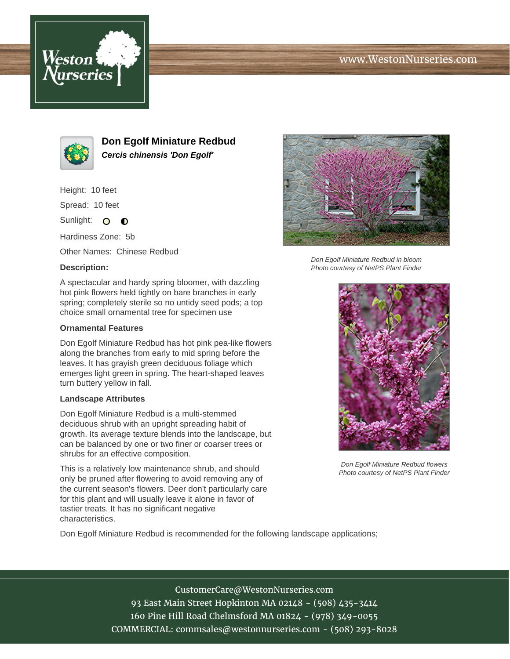# www.WestonNurseries.com





**Don Egolf Miniature Redbud Cercis chinensis 'Don Egolf'**

Height: 10 feet

Spread: 10 feet

Sunlight: O **O** 

Hardiness Zone: 5b

Other Names: Chinese Redbud

### **Description:**

A spectacular and hardy spring bloomer, with dazzling hot pink flowers held tightly on bare branches in early spring; completely sterile so no untidy seed pods; a top choice small ornamental tree for specimen use

### **Ornamental Features**

Don Egolf Miniature Redbud has hot pink pea-like flowers along the branches from early to mid spring before the leaves. It has grayish green deciduous foliage which emerges light green in spring. The heart-shaped leaves turn buttery yellow in fall.

#### **Landscape Attributes**

Don Egolf Miniature Redbud is a multi-stemmed deciduous shrub with an upright spreading habit of growth. Its average texture blends into the landscape, but can be balanced by one or two finer or coarser trees or shrubs for an effective composition.

This is a relatively low maintenance shrub, and should only be pruned after flowering to avoid removing any of the current season's flowers. Deer don't particularly care for this plant and will usually leave it alone in favor of tastier treats. It has no significant negative characteristics.

Don Egolf Miniature Redbud is recommended for the following landscape applications;



Don Egolf Miniature Redbud in bloom Photo courtesy of NetPS Plant Finder



Don Egolf Miniature Redbud flowers Photo courtesy of NetPS Plant Finder

CustomerCare@WestonNurseries.com 93 East Main Street Hopkinton MA 02148 - (508) 435-3414 160 Pine Hill Road Chelmsford MA 01824 - (978) 349-0055 COMMERCIAL: commsales@westonnurseries.com - (508) 293-8028